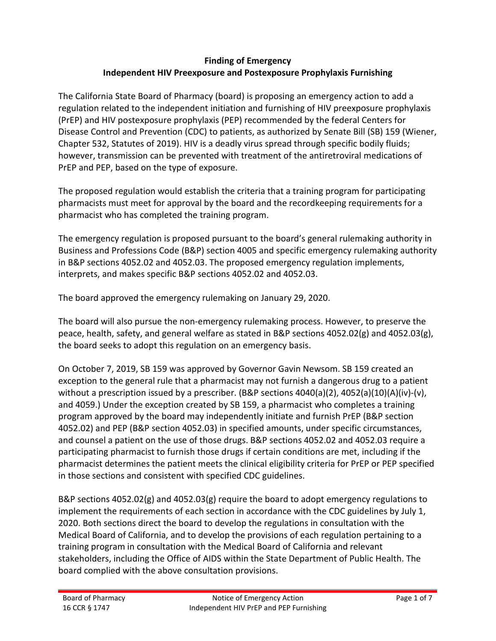# **Finding of Emergency Independent HIV Preexposure and Postexposure Prophylaxis Furnishing**

The California State Board of Pharmacy (board) is proposing an emergency action to add a regulation related to the independent initiation and furnishing of HIV preexposure prophylaxis (PrEP) and HIV postexposure prophylaxis (PEP) recommended by the federal Centers for Disease Control and Prevention (CDC) to patients, as authorized by Senate Bill (SB) 159 (Wiener, Chapter 532, Statutes of 2019). HIV is a deadly virus spread through specific bodily fluids; however, transmission can be prevented with treatment of the antiretroviral medications of PrEP and PEP, based on the type of exposure.

The proposed regulation would establish the criteria that a training program for participating pharmacists must meet for approval by the board and the recordkeeping requirements for a pharmacist who has completed the training program.

The emergency regulation is proposed pursuant to the board's general rulemaking authority in Business and Professions Code (B&P) section 4005 and specific emergency rulemaking authority in B&P sections 4052.02 and 4052.03. The proposed emergency regulation implements, interprets, and makes specific B&P sections 4052.02 and 4052.03.

The board approved the emergency rulemaking on January 29, 2020.

The board will also pursue the non-emergency rulemaking process. However, to preserve the peace, health, safety, and general welfare as stated in B&P sections 4052.02(g) and 4052.03(g), the board seeks to adopt this regulation on an emergency basis.

On October 7, 2019, SB 159 was approved by Governor Gavin Newsom. SB 159 created an exception to the general rule that a pharmacist may not furnish a dangerous drug to a patient without a prescription issued by a prescriber. (B&P sections 4040(a)(2), 4052(a)(10)(A)(iv)-(v), and 4059.) Under the exception created by SB 159, a pharmacist who completes a training program approved by the board may independently initiate and furnish PrEP (B&P section 4052.02) and PEP (B&P section 4052.03) in specified amounts, under specific circumstances, and counsel a patient on the use of those drugs. B&P sections 4052.02 and 4052.03 require a participating pharmacist to furnish those drugs if certain conditions are met, including if the pharmacist determines the patient meets the clinical eligibility criteria for PrEP or PEP specified in those sections and consistent with specified CDC guidelines.

B&P sections 4052.02(g) and 4052.03(g) require the board to adopt emergency regulations to implement the requirements of each section in accordance with the CDC guidelines by July 1, 2020. Both sections direct the board to develop the regulations in consultation with the Medical Board of California, and to develop the provisions of each regulation pertaining to a training program in consultation with the Medical Board of California and relevant stakeholders, including the Office of AIDS within the State Department of Public Health. The board complied with the above consultation provisions.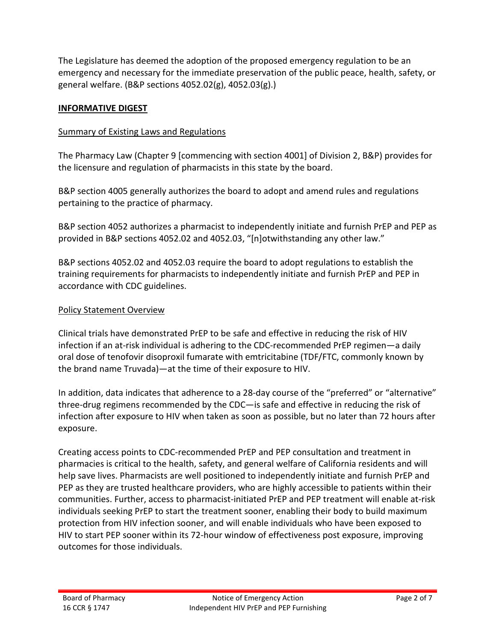The Legislature has deemed the adoption of the proposed emergency regulation to be an emergency and necessary for the immediate preservation of the public peace, health, safety, or general welfare. (B&P sections 4052.02(g), 4052.03(g).)

### **INFORMATIVE DIGEST**

## Summary of Existing Laws and Regulations

The Pharmacy Law (Chapter 9 [commencing with section 4001] of Division 2, B&P) provides for the licensure and regulation of pharmacists in this state by the board.

B&P section 4005 generally authorizes the board to adopt and amend rules and regulations pertaining to the practice of pharmacy.

B&P section 4052 authorizes a pharmacist to independently initiate and furnish PrEP and PEP as provided in B&P sections 4052.02 and 4052.03, "[n]otwithstanding any other law."

B&P sections 4052.02 and 4052.03 require the board to adopt regulations to establish the training requirements for pharmacists to independently initiate and furnish PrEP and PEP in accordance with CDC guidelines.

## Policy Statement Overview

Clinical trials have demonstrated PrEP to be safe and effective in reducing the risk of HIV infection if an at-risk individual is adhering to the CDC-recommended PrEP regimen—a daily oral dose of tenofovir disoproxil fumarate with emtricitabine (TDF/FTC, commonly known by the brand name Truvada)—at the time of their exposure to HIV.

In addition, data indicates that adherence to a 28-day course of the "preferred" or "alternative" three-drug regimens recommended by the CDC—is safe and effective in reducing the risk of infection after exposure to HIV when taken as soon as possible, but no later than 72 hours after exposure.

Creating access points to CDC-recommended PrEP and PEP consultation and treatment in pharmacies is critical to the health, safety, and general welfare of California residents and will help save lives. Pharmacists are well positioned to independently initiate and furnish PrEP and PEP as they are trusted healthcare providers, who are highly accessible to patients within their communities. Further, access to pharmacist-initiated PrEP and PEP treatment will enable at-risk individuals seeking PrEP to start the treatment sooner, enabling their body to build maximum protection from HIV infection sooner, and will enable individuals who have been exposed to HIV to start PEP sooner within its 72-hour window of effectiveness post exposure, improving outcomes for those individuals.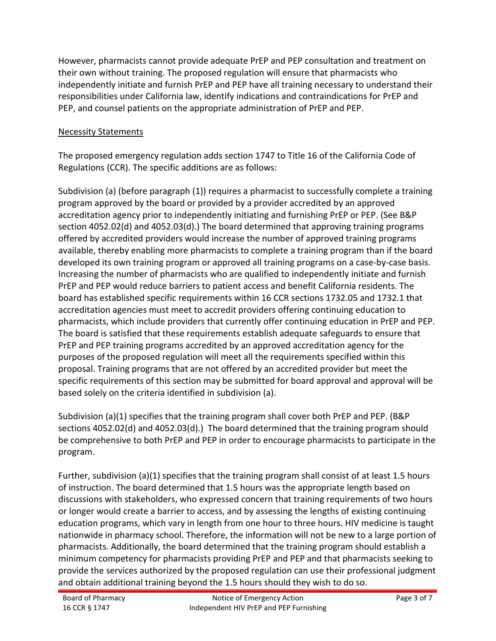However, pharmacists cannot provide adequate PrEP and PEP consultation and treatment on their own without training. The proposed regulation will ensure that pharmacists who independently initiate and furnish PrEP and PEP have all training necessary to understand their responsibilities under California law, identify indications and contraindications for PrEP and PEP, and counsel patients on the appropriate administration of PrEP and PEP.

# Necessity Statements

The proposed emergency regulation adds section 1747 to Title 16 of the California Code of Regulations (CCR). The specific additions are as follows:

Subdivision (a) (before paragraph (1)) requires a pharmacist to successfully complete a training program approved by the board or provided by a provider accredited by an approved accreditation agency prior to independently initiating and furnishing PrEP or PEP. (See B&P section 4052.02(d) and 4052.03(d).) The board determined that approving training programs offered by accredited providers would increase the number of approved training programs available, thereby enabling more pharmacists to complete a training program than if the board developed its own training program or approved all training programs on a case-by-case basis. Increasing the number of pharmacists who are qualified to independently initiate and furnish PrEP and PEP would reduce barriers to patient access and benefit California residents. The board has established specific requirements within 16 CCR sections 1732.05 and 1732.1 that accreditation agencies must meet to accredit providers offering continuing education to pharmacists, which include providers that currently offer continuing education in PrEP and PEP. The board is satisfied that these requirements establish adequate safeguards to ensure that PrEP and PEP training programs accredited by an approved accreditation agency for the purposes of the proposed regulation will meet all the requirements specified within this proposal. Training programs that are not offered by an accredited provider but meet the specific requirements of this section may be submitted for board approval and approval will be based solely on the criteria identified in subdivision (a).

Subdivision (a)(1) specifies that the training program shall cover both PrEP and PEP. (B&P sections 4052.02(d) and 4052.03(d).) The board determined that the training program should be comprehensive to both PrEP and PEP in order to encourage pharmacists to participate in the program.

Further, subdivision (a)(1) specifies that the training program shall consist of at least 1.5 hours of instruction. The board determined that 1.5 hours was the appropriate length based on discussions with stakeholders, who expressed concern that training requirements of two hours or longer would create a barrier to access, and by assessing the lengths of existing continuing education programs, which vary in length from one hour to three hours. HIV medicine is taught nationwide in pharmacy school. Therefore, the information will not be new to a large portion of pharmacists. Additionally, the board determined that the training program should establish a minimum competency for pharmacists providing PrEP and PEP and that pharmacists seeking to provide the services authorized by the proposed regulation can use their professional judgment and obtain additional training beyond the 1.5 hours should they wish to do so.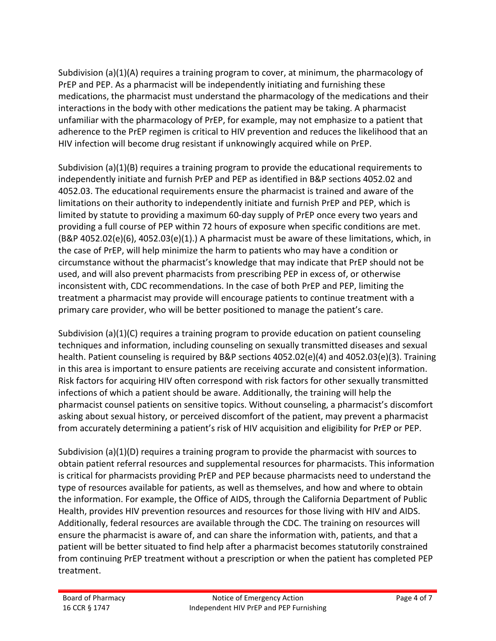Subdivision (a)(1)(A) requires a training program to cover, at minimum, the pharmacology of PrEP and PEP. As a pharmacist will be independently initiating and furnishing these medications, the pharmacist must understand the pharmacology of the medications and their interactions in the body with other medications the patient may be taking. A pharmacist unfamiliar with the pharmacology of PrEP, for example, may not emphasize to a patient that adherence to the PrEP regimen is critical to HIV prevention and reduces the likelihood that an HIV infection will become drug resistant if unknowingly acquired while on PrEP.

Subdivision (a)(1)(B) requires a training program to provide the educational requirements to independently initiate and furnish PrEP and PEP as identified in B&P sections 4052.02 and 4052.03. The educational requirements ensure the pharmacist is trained and aware of the limitations on their authority to independently initiate and furnish PrEP and PEP, which is limited by statute to providing a maximum 60-day supply of PrEP once every two years and providing a full course of PEP within 72 hours of exposure when specific conditions are met. (B&P 4052.02(e)(6), 4052.03(e)(1).) A pharmacist must be aware of these limitations, which, in the case of PrEP, will help minimize the harm to patients who may have a condition or circumstance without the pharmacist's knowledge that may indicate that PrEP should not be used, and will also prevent pharmacists from prescribing PEP in excess of, or otherwise inconsistent with, CDC recommendations. In the case of both PrEP and PEP, limiting the treatment a pharmacist may provide will encourage patients to continue treatment with a primary care provider, who will be better positioned to manage the patient's care.

Subdivision (a)(1)(C) requires a training program to provide education on patient counseling techniques and information, including counseling on sexually transmitted diseases and sexual health. Patient counseling is required by B&P sections 4052.02(e)(4) and 4052.03(e)(3). Training in this area is important to ensure patients are receiving accurate and consistent information. Risk factors for acquiring HIV often correspond with risk factors for other sexually transmitted infections of which a patient should be aware. Additionally, the training will help the pharmacist counsel patients on sensitive topics. Without counseling, a pharmacist's discomfort asking about sexual history, or perceived discomfort of the patient, may prevent a pharmacist from accurately determining a patient's risk of HIV acquisition and eligibility for PrEP or PEP.

Subdivision (a)(1)(D) requires a training program to provide the pharmacist with sources to obtain patient referral resources and supplemental resources for pharmacists. This information is critical for pharmacists providing PrEP and PEP because pharmacists need to understand the type of resources available for patients, as well as themselves, and how and where to obtain the information. For example, the Office of AIDS, through the California Department of Public Health, provides HIV prevention resources and resources for those living with HIV and AIDS. Additionally, federal resources are available through the CDC. The training on resources will ensure the pharmacist is aware of, and can share the information with, patients, and that a patient will be better situated to find help after a pharmacist becomes statutorily constrained from continuing PrEP treatment without a prescription or when the patient has completed PEP treatment.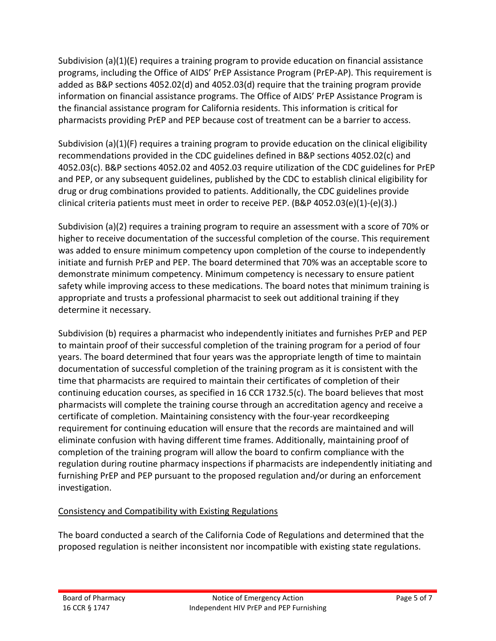Subdivision (a)(1)(E) requires a training program to provide education on financial assistance programs, including the Office of AIDS' PrEP Assistance Program (PrEP-AP). This requirement is added as B&P sections 4052.02(d) and 4052.03(d) require that the training program provide information on financial assistance programs. The Office of AIDS' PrEP Assistance Program is the financial assistance program for California residents. This information is critical for pharmacists providing PrEP and PEP because cost of treatment can be a barrier to access.

Subdivision (a)(1)(F) requires a training program to provide education on the clinical eligibility recommendations provided in the CDC guidelines defined in B&P sections 4052.02(c) and 4052.03(c). B&P sections 4052.02 and 4052.03 require utilization of the CDC guidelines for PrEP and PEP, or any subsequent guidelines, published by the CDC to establish clinical eligibility for drug or drug combinations provided to patients. Additionally, the CDC guidelines provide clinical criteria patients must meet in order to receive PEP. (B&P 4052.03(e)(1)-(e)(3).)

Subdivision (a)(2) requires a training program to require an assessment with a score of 70% or higher to receive documentation of the successful completion of the course. This requirement was added to ensure minimum competency upon completion of the course to independently initiate and furnish PrEP and PEP. The board determined that 70% was an acceptable score to demonstrate minimum competency. Minimum competency is necessary to ensure patient safety while improving access to these medications. The board notes that minimum training is appropriate and trusts a professional pharmacist to seek out additional training if they determine it necessary.

Subdivision (b) requires a pharmacist who independently initiates and furnishes PrEP and PEP to maintain proof of their successful completion of the training program for a period of four years. The board determined that four years was the appropriate length of time to maintain documentation of successful completion of the training program as it is consistent with the time that pharmacists are required to maintain their certificates of completion of their continuing education courses, as specified in 16 CCR 1732.5(c). The board believes that most pharmacists will complete the training course through an accreditation agency and receive a certificate of completion. Maintaining consistency with the four-year recordkeeping requirement for continuing education will ensure that the records are maintained and will eliminate confusion with having different time frames. Additionally, maintaining proof of completion of the training program will allow the board to confirm compliance with the regulation during routine pharmacy inspections if pharmacists are independently initiating and furnishing PrEP and PEP pursuant to the proposed regulation and/or during an enforcement investigation.

# Consistency and Compatibility with Existing Regulations

The board conducted a search of the California Code of Regulations and determined that the proposed regulation is neither inconsistent nor incompatible with existing state regulations.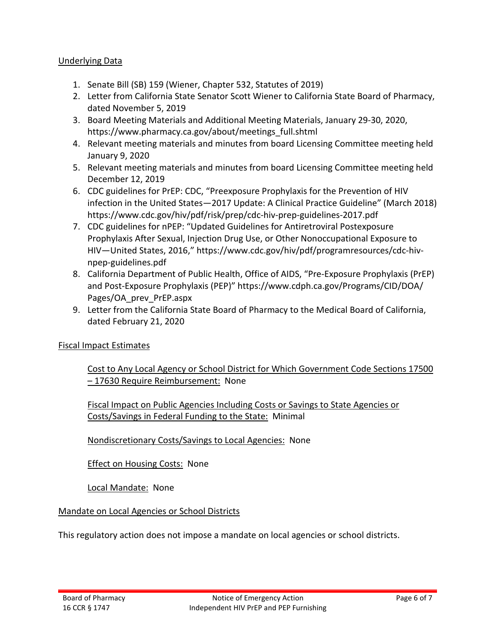#### Underlying Data

- 1. Senate Bill (SB) 159 (Wiener, Chapter 532, Statutes of 2019)
- 2. Letter from California State Senator Scott Wiener to California State Board of Pharmacy, dated November 5, 2019
- 3. Board Meeting Materials and Additional Meeting Materials, January 29-30, 2020, https://www.pharmacy.ca.gov/about/meetings\_full.shtml
- 4. Relevant meeting materials and minutes from board Licensing Committee meeting held January 9, 2020
- 5. Relevant meeting materials and minutes from board Licensing Committee meeting held December 12, 2019
- 6. CDC guidelines for PrEP: CDC, "Preexposure Prophylaxis for the Prevention of HIV infection in the United States—2017 Update: A Clinical Practice Guideline" (March 2018) https://www.cdc.gov/hiv/pdf/risk/prep/cdc-hiv-prep-guidelines-2017.pdf
- 7. CDC guidelines for nPEP: "Updated Guidelines for Antiretroviral Postexposure Prophylaxis After Sexual, Injection Drug Use, or Other Nonoccupational Exposure to HIV—United States, 2016," https://www.cdc.gov/hiv/pdf/programresources/cdc-hivnpep-guidelines.pdf
- 8. California Department of Public Health, Office of AIDS, "Pre-Exposure Prophylaxis (PrEP) and Post-Exposure Prophylaxis (PEP)" https://www.cdph.ca.gov/Programs/CID/DOA/ Pages/OA\_prev\_PrEP.aspx
- 9. Letter from the California State Board of Pharmacy to the Medical Board of California, dated February 21, 2020

### Fiscal Impact Estimates

Cost to Any Local Agency or School District for Which Government Code Sections 17500 – 17630 Require Reimbursement: None

Fiscal Impact on Public Agencies Including Costs or Savings to State Agencies or Costs/Savings in Federal Funding to the State: Minimal

Nondiscretionary Costs/Savings to Local Agencies: None

Effect on Housing Costs: None

Local Mandate: None

### Mandate on Local Agencies or School Districts

This regulatory action does not impose a mandate on local agencies or school districts.